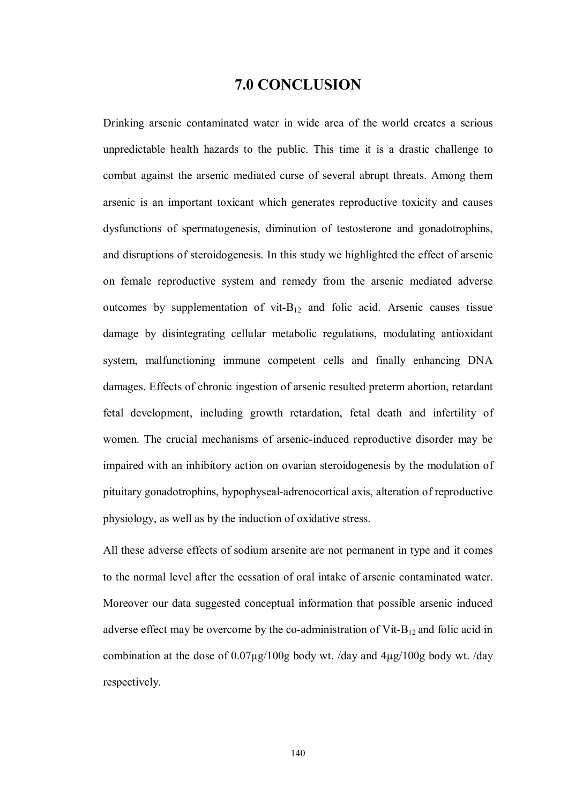## **7.0 CONCLUSION**

Drinking arsenic contaminated water in wide area of the world creates a serious unpredictable health hazards to the public. This time it is a drastic challenge to combat against the arsenic mediated curse of several abrupt threats. Among them arsenic is an important toxicant which generates reproductive toxicity and causes dysfunctions of spermatogenesis, diminution of testosterone and gonadotrophins, and disruptions of steroidogenesis. In this study we highlighted the effect of arsenic on female reproductive system and remedy from the arsenic mediated adverse outcomes by supplementation of vit- $B_{12}$  and folic acid. Arsenic causes tissue damage by disintegrating cellular metabolic regulations, modulating antioxidant system, malfunctioning immune competent cells and finally enhancing DNA damages. Effects of chronic ingestion of arsenic resulted preterm abortion, retardant fetal development, including growth retardation, fetal death and infertility of women. The crucial mechanisms of arsenic-induced reproductive disorder may be impaired with an inhibitory action on ovarian steroidogenesis by the modulation of pituitary gonadotrophins, hypophyseal-adrenocortical axis, alteration of reproductive physiology, as well as by the induction of oxidative stress.

All these adverse effects of sodium arsenite are not permanent in type and it comes to the normal level after the cessation of oral intake of arsenic contaminated water. Moreover our data suggested conceptual information that possible arsenic induced adverse effect may be overcome by the co-administration of Vit- $B_{12}$  and folic acid in combination at the dose of 0.07µg/100g body wt. /day and 4µg/100g body wt. /day respectively.